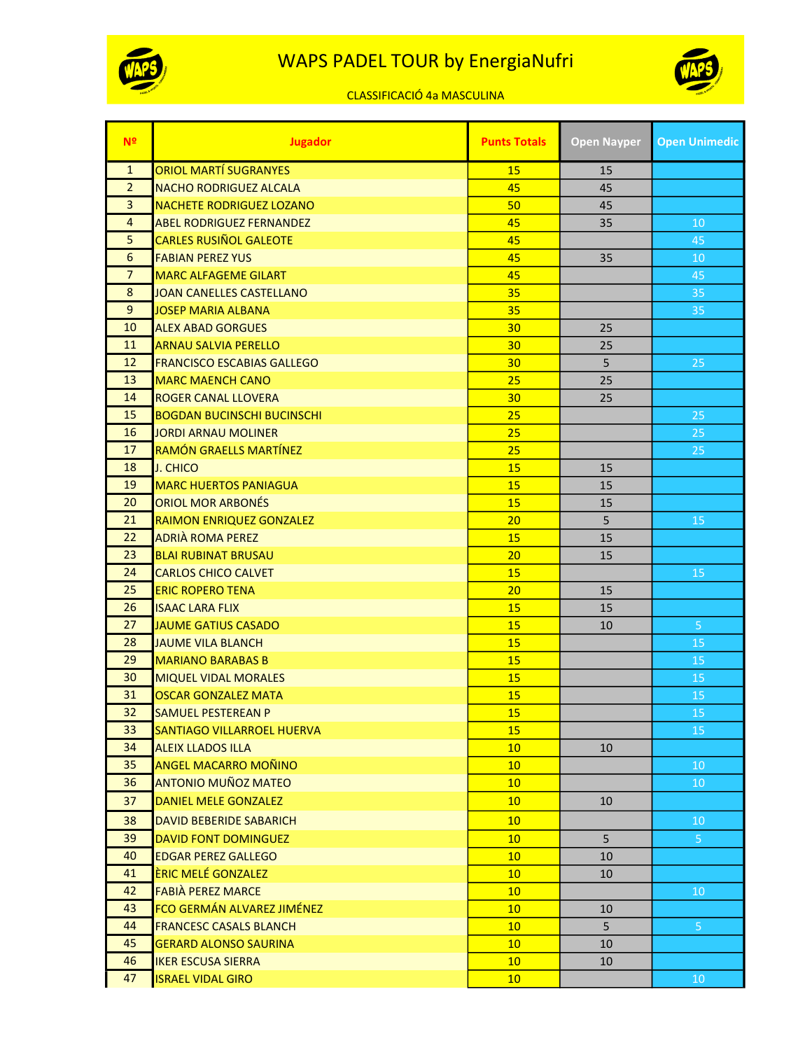

## WAPS PADEL TOUR by EnergiaNufri



## CLASSIFICACIÓ 4a MASCULINA

| N <sup>o</sup> | <b>Jugador</b>                    | <b>Punts Totals</b> | <b>Open Nayper</b> | <b>Open Unimedic</b> |
|----------------|-----------------------------------|---------------------|--------------------|----------------------|
| $\mathbf{1}$   | <b>ORIOL MARTÍ SUGRANYES</b>      | 15                  | 15                 |                      |
| $\overline{2}$ | <b>NACHO RODRIGUEZ ALCALA</b>     | 45                  | 45                 |                      |
| $\overline{3}$ | <b>NACHETE RODRIGUEZ LOZANO</b>   | 50                  | 45                 |                      |
| 4              | <b>ABEL RODRIGUEZ FERNANDEZ</b>   | 45                  | 35                 | 10                   |
| 5              | <b>CARLES RUSIÑOL GALEOTE</b>     | 45                  |                    | 45                   |
| 6              | <b>FABIAN PEREZ YUS</b>           | 45                  | 35                 | 10                   |
| $\overline{7}$ | <b>MARC ALFAGEME GILART</b>       | 45                  |                    | 45                   |
| 8              | <b>JOAN CANELLES CASTELLANO</b>   | 35                  |                    | 35                   |
| 9              | <b>JOSEP MARIA ALBANA</b>         | 35                  |                    | 35                   |
| 10             | <b>ALEX ABAD GORGUES</b>          | 30                  | 25                 |                      |
| 11             | <b>ARNAU SALVIA PERELLO</b>       | 30                  | 25                 |                      |
| 12             | <b>FRANCISCO ESCABIAS GALLEGO</b> | 30                  | 5                  | 25                   |
| 13             | <b>MARC MAENCH CANO</b>           | 25                  | 25                 |                      |
| 14             | <b>ROGER CANAL LLOVERA</b>        | 30                  | 25                 |                      |
| 15             | <b>BOGDAN BUCINSCHI BUCINSCHI</b> | 25                  |                    | 25                   |
| 16             | <b>JORDI ARNAU MOLINER</b>        | 25                  |                    | 25                   |
| 17             | <b>RAMÓN GRAELLS MARTÍNEZ</b>     | 25                  |                    | 25                   |
| 18             | <b>J. CHICO</b>                   | 15                  | 15                 |                      |
| 19             | <b>MARC HUERTOS PANIAGUA</b>      | 15                  | 15                 |                      |
| 20             | <b>ORIOL MOR ARBONÉS</b>          | 15                  | 15                 |                      |
| 21             | RAIMON ENRIQUEZ GONZALEZ          | 20                  | 5                  | 15                   |
| 22             | <b>ADRIÀ ROMA PEREZ</b>           | 15                  | 15                 |                      |
| 23             | <b>BLAI RUBINAT BRUSAU</b>        | 20                  | 15                 |                      |
| 24             | <b>CARLOS CHICO CALVET</b>        | 15                  |                    | 15                   |
| 25             | <b>ERIC ROPERO TENA</b>           | 20                  | 15                 |                      |
| 26             | <b>ISAAC LARA FLIX</b>            | 15                  | 15                 |                      |
| 27             | <b>JAUME GATIUS CASADO</b>        | 15                  | 10                 | $\overline{5}$       |
| 28             | <b>JAUME VILA BLANCH</b>          | 15                  |                    | 15                   |
| 29             | <b>MARIANO BARABAS B</b>          | 15                  |                    | 15                   |
| 30             | <b>MIQUEL VIDAL MORALES</b>       | 15                  |                    | 15                   |
| 31             | <b>OSCAR GONZALEZ MATA</b>        | 15                  |                    | 15                   |
| 32             | <b>SAMUEL PESTEREAN P</b>         | 15                  |                    | 15                   |
| 33             | SANTIAGO VILLARROEL HUERVA        | 15                  |                    | 15                   |
| 34             | <b>ALEIX LLADOS ILLA</b>          | 10                  | 10                 |                      |
| 35             | <b>ANGEL MACARRO MOÑINO</b>       | 10                  |                    | 10                   |
| 36             | <b>ANTONIO MUÑOZ MATEO</b>        | 10                  |                    | 10                   |
| 37             | <b>DANIEL MELE GONZALEZ</b>       | 10                  | 10                 |                      |
| 38             | DAVID BEBERIDE SABARICH           | 10                  |                    | 10                   |
| 39             | <b>DAVID FONT DOMINGUEZ</b>       | 10                  | 5                  | 5 <sub>1</sub>       |
| 40             | <b>EDGAR PEREZ GALLEGO</b>        | 10                  | 10                 |                      |
| 41             | ÈRIC MELÉ GONZALEZ                | 10                  | 10                 |                      |
| 42             | <b>FABIÀ PEREZ MARCE</b>          | 10                  |                    | 10                   |
| 43             | FCO GERMÁN ALVAREZ JIMÉNEZ        | 10 <sup>°</sup>     | 10                 |                      |
| 44             | <b>FRANCESC CASALS BLANCH</b>     | 10                  | 5                  | 5 <sup>1</sup>       |
| 45             | <b>GERARD ALONSO SAURINA</b>      | 10                  | 10                 |                      |
| 46             | <b>IKER ESCUSA SIERRA</b>         | 10                  | 10                 |                      |
| 47             | <b>ISRAEL VIDAL GIRO</b>          | 10                  |                    | 10                   |